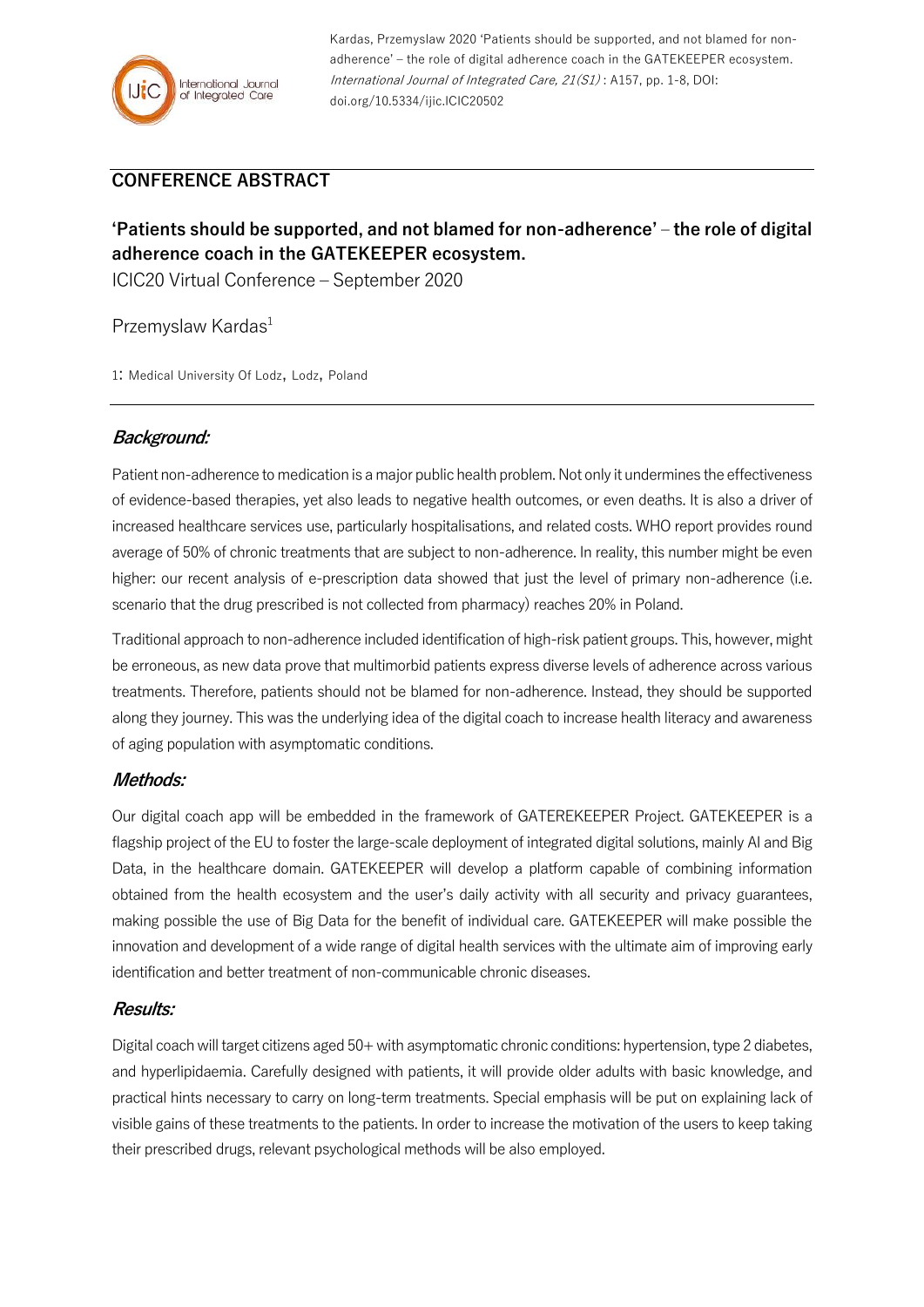

Kardas, Przemyslaw 2020 'Patients should be supported, and not blamed for nonadherence' – the role of digital adherence coach in the GATEKEEPER ecosystem. International Journal of Integrated Care, 21(S1) : A157, pp. 1-8, DOI: doi.org/10.5334/ijic.ICIC20502

## **CONFERENCE ABSTRACT**

# **'Patients should be supported, and not blamed for non-adherence' – the role of digital adherence coach in the GATEKEEPER ecosystem.**

ICIC20 Virtual Conference – September 2020

## Przemyslaw Kardas<sup>1</sup>

1: Medical University Of Lodz, Lodz, Poland

## **Background:**

Patient non-adherence to medication is a major public health problem. Not only it undermines the effectiveness of evidence-based therapies, yet also leads to negative health outcomes, or even deaths. It is also a driver of increased healthcare services use, particularly hospitalisations, and related costs. WHO report provides round average of 50% of chronic treatments that are subject to non-adherence. In reality, this number might be even higher: our recent analysis of e-prescription data showed that just the level of primary non-adherence (i.e. scenario that the drug prescribed is not collected from pharmacy) reaches 20% in Poland.

Traditional approach to non-adherence included identification of high-risk patient groups. This, however, might be erroneous, as new data prove that multimorbid patients express diverse levels of adherence across various treatments. Therefore, patients should not be blamed for non-adherence. Instead, they should be supported along they journey. This was the underlying idea of the digital coach to increase health literacy and awareness of aging population with asymptomatic conditions.

## **Methods:**

Our digital coach app will be embedded in the framework of GATEREKEEPER Project. GATEKEEPER is a flagship project of the EU to foster the large-scale deployment of integrated digital solutions, mainly AI and Big Data, in the healthcare domain. GATEKEEPER will develop a platform capable of combining information obtained from the health ecosystem and the user's daily activity with all security and privacy guarantees, making possible the use of Big Data for the benefit of individual care. GATEKEEPER will make possible the innovation and development of a wide range of digital health services with the ultimate aim of improving early identification and better treatment of non-communicable chronic diseases.

#### **Results:**

Digital coach will target citizens aged 50+ with asymptomatic chronic conditions: hypertension, type 2 diabetes, and hyperlipidaemia. Carefully designed with patients, it will provide older adults with basic knowledge, and practical hints necessary to carry on long-term treatments. Special emphasis will be put on explaining lack of visible gains of these treatments to the patients. In order to increase the motivation of the users to keep taking their prescribed drugs, relevant psychological methods will be also employed.